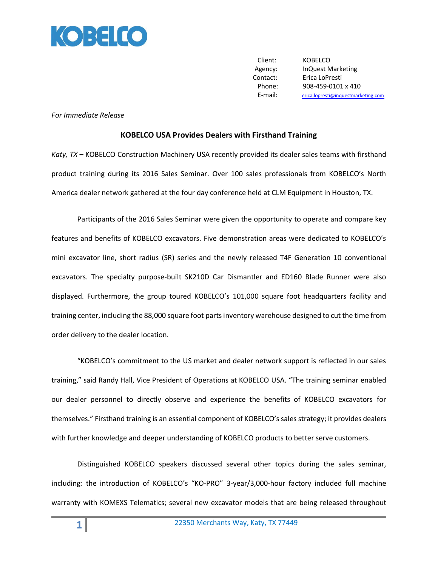

Client: KOBELCO Agency: InQuest Marketing Contact: Erica LoPresti Phone: 908-459-0101 x 410 E-mail: [erica.lopresti@inquestmarketing.com](mailto:erica.lopresti@inquestmarketing.com)

## *For Immediate Release*

## **KOBELCO USA Provides Dealers with Firsthand Training**

*Katy, TX* **–** KOBELCO Construction Machinery USA recently provided its dealer sales teams with firsthand product training during its 2016 Sales Seminar. Over 100 sales professionals from KOBELCO's North America dealer network gathered at the four day conference held at CLM Equipment in Houston, TX.

Participants of the 2016 Sales Seminar were given the opportunity to operate and compare key features and benefits of KOBELCO excavators. Five demonstration areas were dedicated to KOBELCO's mini excavator line, short radius (SR) series and the newly released T4F Generation 10 conventional excavators. The specialty purpose-built SK210D Car Dismantler and ED160 Blade Runner were also displayed. Furthermore, the group toured KOBELCO's 101,000 square foot headquarters facility and training center, including the 88,000 square foot parts inventory warehouse designed to cut the time from order delivery to the dealer location.

"KOBELCO's commitment to the US market and dealer network support is reflected in our sales training," said Randy Hall, Vice President of Operations at KOBELCO USA. "The training seminar enabled our dealer personnel to directly observe and experience the benefits of KOBELCO excavators for themselves." Firsthand training is an essential component of KOBELCO's sales strategy; it provides dealers with further knowledge and deeper understanding of KOBELCO products to better serve customers.

Distinguished KOBELCO speakers discussed several other topics during the sales seminar, including: the introduction of KOBELCO's "KO-PRO" 3-year/3,000-hour factory included full machine warranty with KOMEXS Telematics; several new excavator models that are being released throughout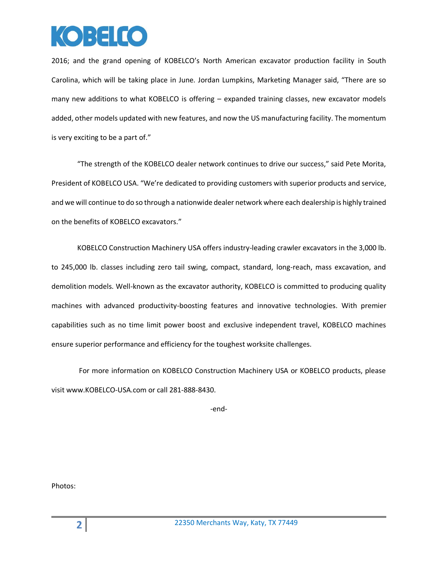## $\odot$  :  $\square$  it  $\odot$

2016; and the grand opening of KOBELCO's North American excavator production facility in South Carolina, which will be taking place in June. Jordan Lumpkins, Marketing Manager said, "There are so many new additions to what KOBELCO is offering – expanded training classes, new excavator models added, other models updated with new features, and now the US manufacturing facility. The momentum is very exciting to be a part of."

"The strength of the KOBELCO dealer network continues to drive our success," said Pete Morita, President of KOBELCO USA. "We're dedicated to providing customers with superior products and service, and we will continue to do so through a nationwide dealer network where each dealership is highly trained on the benefits of KOBELCO excavators."

KOBELCO Construction Machinery USA offers industry-leading crawler excavators in the 3,000 lb. to 245,000 lb. classes including zero tail swing, compact, standard, long-reach, mass excavation, and demolition models. Well-known as the excavator authority, KOBELCO is committed to producing quality machines with advanced productivity-boosting features and innovative technologies. With premier capabilities such as no time limit power boost and exclusive independent travel, KOBELCO machines ensure superior performance and efficiency for the toughest worksite challenges.

For more information on KOBELCO Construction Machinery USA or KOBELCO products, please visit www.KOBELCO-USA.com or call 281-888-8430.

-end-

Photos: